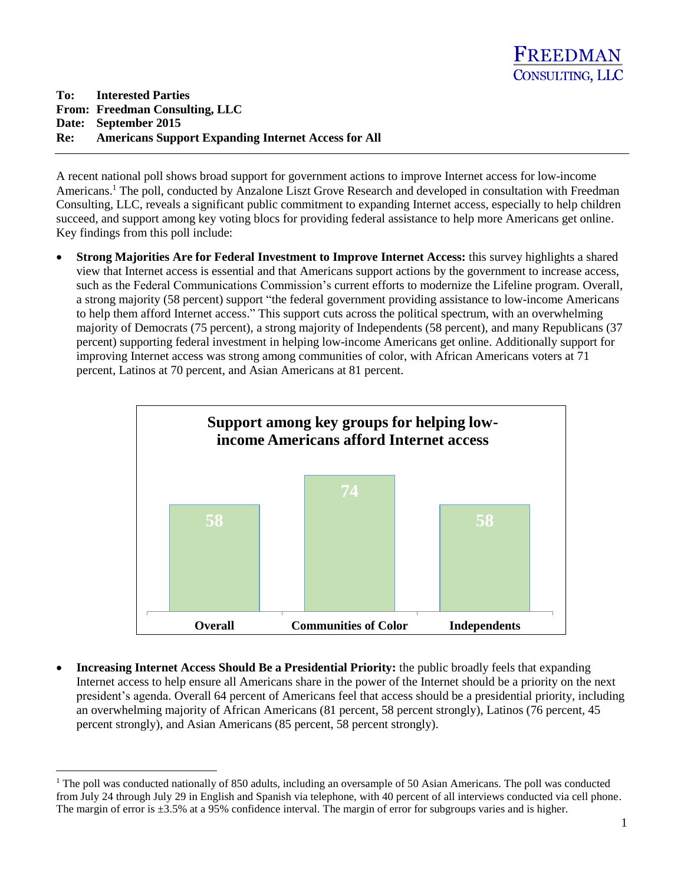A recent national poll shows broad support for government actions to improve Internet access for low-income Americans.<sup>1</sup> The poll, conducted by Anzalone Liszt Grove Research and developed in consultation with Freedman Consulting, LLC, reveals a significant public commitment to expanding Internet access, especially to help children succeed, and support among key voting blocs for providing federal assistance to help more Americans get online. Key findings from this poll include:

 **Strong Majorities Are for Federal Investment to Improve Internet Access:** this survey highlights a shared view that Internet access is essential and that Americans support actions by the government to increase access, such as the Federal Communications Commission's current efforts to modernize the Lifeline program. Overall, a strong majority (58 percent) support "the federal government providing assistance to low-income Americans to help them afford Internet access." This support cuts across the political spectrum, with an overwhelming majority of Democrats (75 percent), a strong majority of Independents (58 percent), and many Republicans (37 percent) supporting federal investment in helping low-income Americans get online. Additionally support for improving Internet access was strong among communities of color, with African Americans voters at 71 percent, Latinos at 70 percent, and Asian Americans at 81 percent.



 **Increasing Internet Access Should Be a Presidential Priority:** the public broadly feels that expanding Internet access to help ensure all Americans share in the power of the Internet should be a priority on the next president's agenda. Overall 64 percent of Americans feel that access should be a presidential priority, including an overwhelming majority of African Americans (81 percent, 58 percent strongly), Latinos (76 percent, 45 percent strongly), and Asian Americans (85 percent, 58 percent strongly).

 $\overline{a}$ 

<sup>&</sup>lt;sup>1</sup> The poll was conducted nationally of 850 adults, including an oversample of 50 Asian Americans. The poll was conducted from July 24 through July 29 in English and Spanish via telephone, with 40 percent of all interviews conducted via cell phone. The margin of error is  $\pm 3.5\%$  at a 95% confidence interval. The margin of error for subgroups varies and is higher.